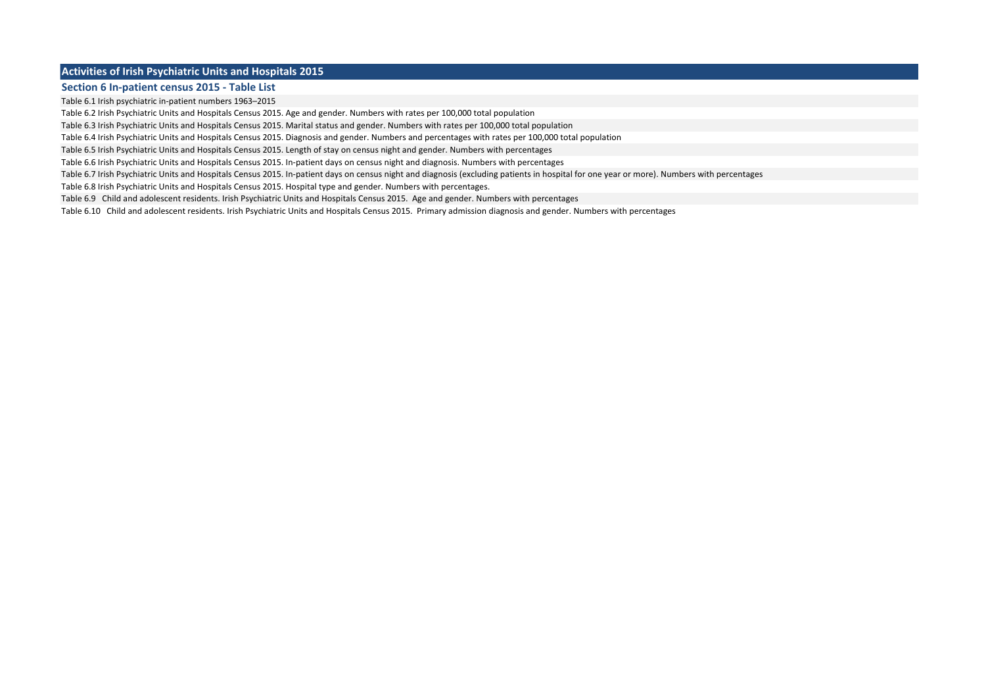### **Activities of Irish Psychiatric Units and Hospitals 2015**

#### **Section 6 In-patient census 2015 - Table List**

Table 6.1 Irish psychiatric in-patient numbers 1963–2015

Table 6.2 Irish Psychiatric Units and Hospitals Census 2015. Age and gender. Numbers with rates per 100,000 total population

Table 6.3 Irish Psychiatric Units and Hospitals Census 2015. Marital status and gender. Numbers with rates per 100,000 total population

Table 6.4 Irish Psychiatric Units and Hospitals Census 2015. Diagnosis and gender. Numbers and percentages with rates per 100,000 total population

Table 6.5 Irish Psychiatric Units and Hospitals Census 2015. Length of stay on census night and gender. Numbers with percentages

Table 6.6 Irish Psychiatric Units and Hospitals Census 2015. In-patient days on census night and diagnosis. Numbers with percentages

Table 6.7 Irish Psychiatric Units and Hospitals Census 2015. In-patient days on census night and diagnosis (excluding patients in hospital for one year or more). Numbers with percentages

Table 6.8 Irish Psychiatric Units and Hospitals Census 2015. Hospital type and gender. Numbers with percentages.

Table 6.9 Child and adolescent residents. Irish Psychiatric Units and Hospitals Census 2015. Age and gender. Numbers with percentages

Table 6.10 Child and adolescent residents. Irish Psychiatric Units and Hospitals Census 2015. Primary admission diagnosis and gender. Numbers with percentages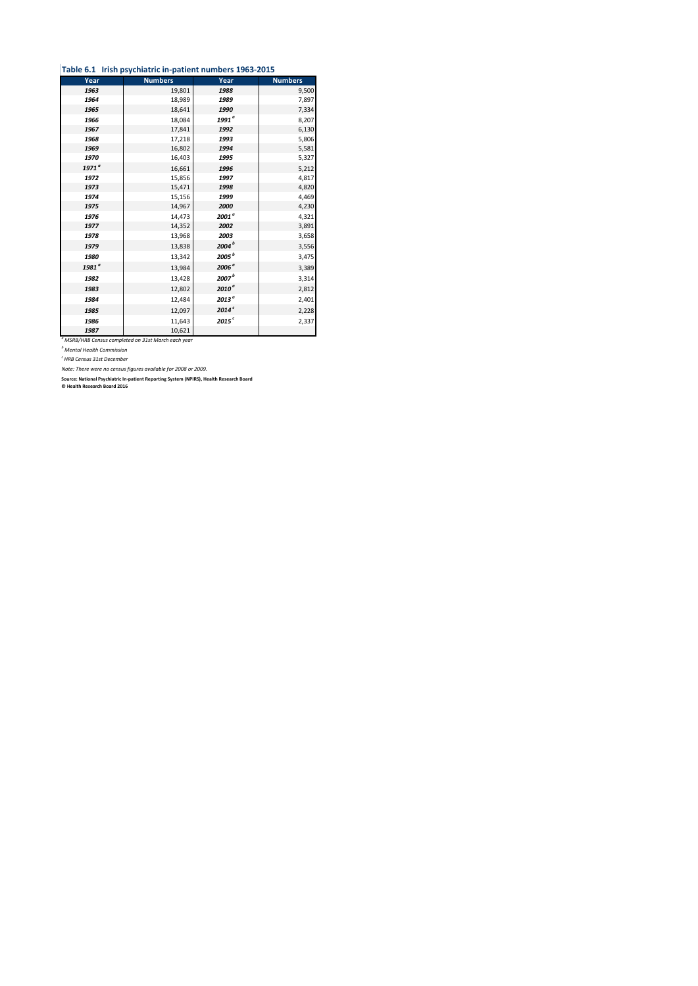### **Table 6.1 Irish psychiatric in-patient numbers 1963-2015**

| Year              | <b>Numbers</b> | Year              | <b>Numbers</b> |
|-------------------|----------------|-------------------|----------------|
| 1963              | 19,801         | 1988              | 9,500          |
| 1964              | 18,989         | 1989              | 7,897          |
| 1965              | 18,641         | 1990              | 7,334          |
| 1966              | 18,084         | 1991 <sup>a</sup> | 8,207          |
| 1967              | 17,841         | 1992              | 6,130          |
| 1968              | 17,218         | 1993              | 5,806          |
| 1969              | 16,802         | 1994              | 5,581          |
| 1970              | 16,403         | 1995              | 5,327          |
| 1971 <sup>a</sup> | 16,661         | 1996              | 5,212          |
| 1972              | 15,856         | 1997              | 4,817          |
| 1973              | 15,471         | 1998              | 4,820          |
| 1974              | 15,156         | 1999              | 4,469          |
| 1975              | 14,967         | 2000              | 4,230          |
| 1976              | 14,473         | 2001 <sup>a</sup> | 4,321          |
| 1977              | 14,352         | 2002              | 3,891          |
| 1978              | 13,968         | 2003              | 3,658          |
| 1979              | 13,838         | 2004 <sup>b</sup> | 3,556          |
| 1980              | 13,342         | 2005 <sup>b</sup> | 3,475          |
| 1981 <sup>ª</sup> | 13,984         | 2006 <sup>a</sup> | 3,389          |
| 1982              | 13,428         | 2007 <sup>b</sup> | 3,314          |
| 1983              | 12,802         | 2010 <sup>a</sup> | 2,812          |
| 1984              | 12,484         | 2013 <sup>ª</sup> | 2,401          |
| 1985              | 12,097         | 2014 <sup>c</sup> | 2,228          |
| 1986              | 11,643         | 2015 <sup>c</sup> | 2,337          |
| 1987              | 10,621         |                   |                |

*1987* 10,621 *<sup>a</sup> MSRB/HRB Census completed on 31st March each year*

*<sup>b</sup> Mental Health Commission*

*c HRB Census 31st December*

*Note: There were no census figures available for 2008 or 2009.*

**Source: National Psychiatric In-patient Reporting System (NPIRS), Health Research Board © Health Research Board 2016**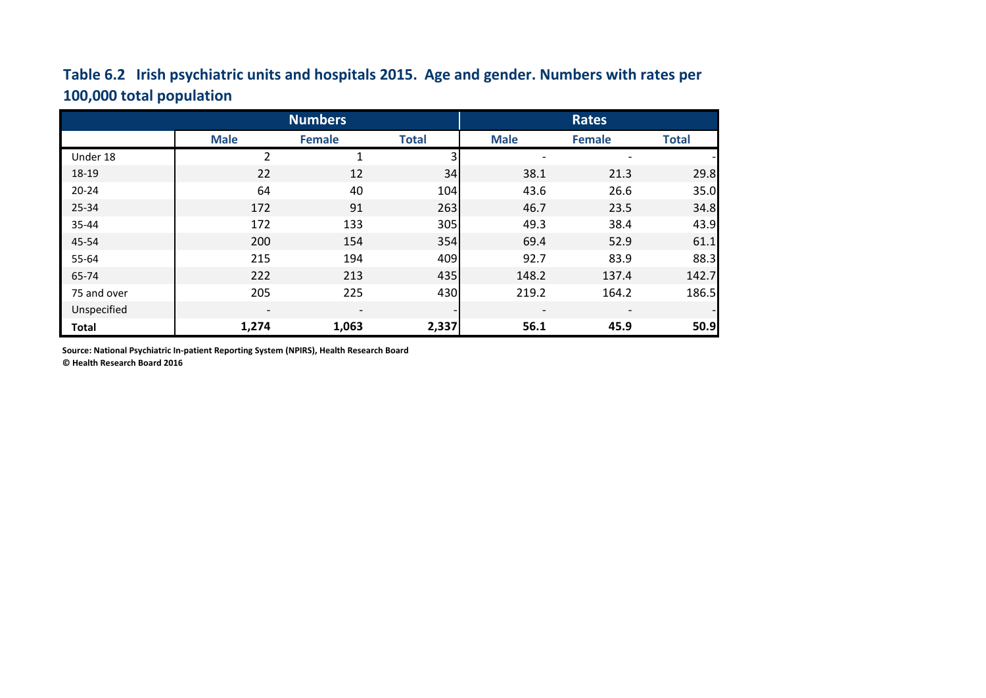# **Table 6.2 Irish psychiatric units and hospitals 2015. Age and gender. Numbers with rates per 100,000 total population**

|              | <b>Numbers</b>           |                          |              | <b>Rates</b>             |                          |              |  |
|--------------|--------------------------|--------------------------|--------------|--------------------------|--------------------------|--------------|--|
|              | <b>Male</b>              | <b>Female</b>            | <b>Total</b> | <b>Male</b>              | <b>Female</b>            | <b>Total</b> |  |
| Under 18     | 2                        | 1                        | 3            |                          |                          |              |  |
| 18-19        | 22                       | 12                       | 34           | 38.1                     | 21.3                     | 29.8         |  |
| $20 - 24$    | 64                       | 40                       | 104          | 43.6                     | 26.6                     | 35.0         |  |
| 25-34        | 172                      | 91                       | 263          | 46.7                     | 23.5                     | 34.8         |  |
| 35-44        | 172                      | 133                      | 305          | 49.3                     | 38.4                     | 43.9         |  |
| 45-54        | 200                      | 154                      | 354          | 69.4                     | 52.9                     | 61.1         |  |
| 55-64        | 215                      | 194                      | 409          | 92.7                     | 83.9                     | 88.3         |  |
| 65-74        | 222                      | 213                      | 435          | 148.2                    | 137.4                    | 142.7        |  |
| 75 and over  | 205                      | 225                      | 430          | 219.2                    | 164.2                    | 186.5        |  |
| Unspecified  | $\overline{\phantom{a}}$ | $\overline{\phantom{a}}$ |              | $\overline{\phantom{a}}$ | $\overline{\phantom{a}}$ |              |  |
| <b>Total</b> | 1,274                    | 1,063                    | 2,337        | 56.1                     | 45.9                     | 50.9         |  |

**Source: National Psychiatric In-patient Reporting System (NPIRS), Health Research Board © Health Research Board 2016**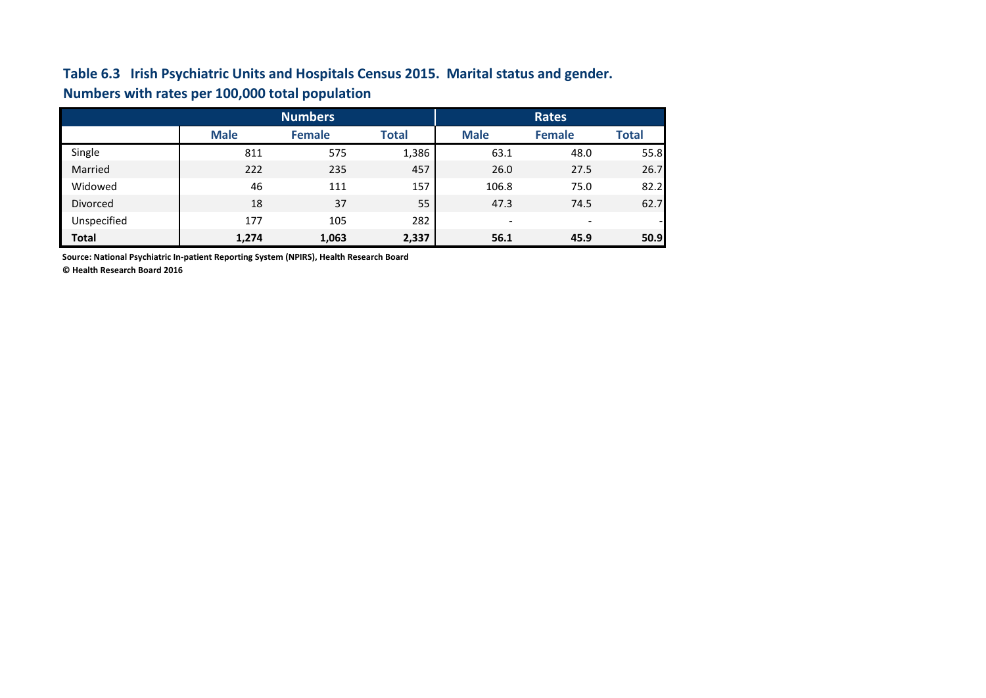## **Table 6.3 Irish Psychiatric Units and Hospitals Census 2015. Marital status and gender. Numbers with rates per 100,000 total population**

|                 |             | <b>Numbers</b> | <b>Rates</b> |                          |                          |              |
|-----------------|-------------|----------------|--------------|--------------------------|--------------------------|--------------|
|                 | <b>Male</b> | <b>Female</b>  | <b>Total</b> | <b>Male</b>              | <b>Female</b>            | <b>Total</b> |
| Single          | 811         | 575            | 1,386        | 63.1                     | 48.0                     | 55.8         |
| Married         | 222         | 235            | 457          | 26.0                     | 27.5                     | 26.7         |
| Widowed         | 46          | 111            | 157          | 106.8                    | 75.0                     | 82.2         |
| <b>Divorced</b> | 18          | 37             | 55           | 47.3                     | 74.5                     | 62.7         |
| Unspecified     | 177         | 105            | 282          | $\overline{\phantom{0}}$ | $\overline{\phantom{0}}$ |              |
| <b>Total</b>    | 1,274       | 1,063          | 2,337        | 56.1                     | 45.9                     | 50.9         |

**Source: National Psychiatric In-patient Reporting System (NPIRS), Health Research Board**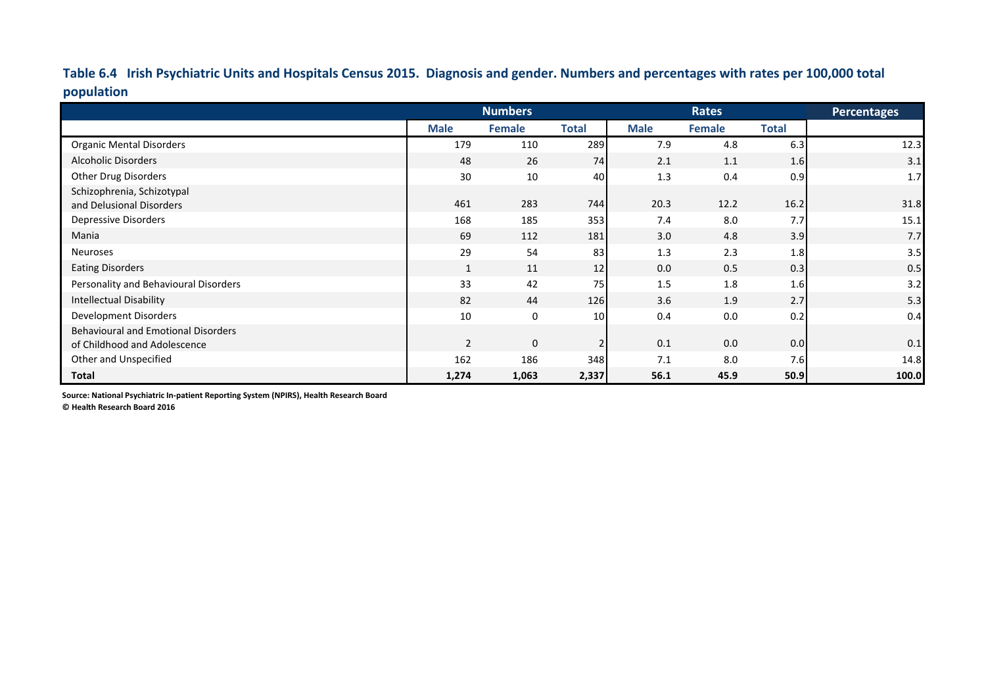**Table 6.4 Irish Psychiatric Units and Hospitals Census 2015. Diagnosis and gender. Numbers and percentages with rates per 100,000 total population**

|                                            |             | <b>Numbers</b> |              |             | <b>Rates</b> |              | Percentages |
|--------------------------------------------|-------------|----------------|--------------|-------------|--------------|--------------|-------------|
|                                            | <b>Male</b> | Female         | <b>Total</b> | <b>Male</b> | Female       | <b>Total</b> |             |
| <b>Organic Mental Disorders</b>            | 179         | 110            | 289          | 7.9         | 4.8          | 6.3          | 12.3        |
| <b>Alcoholic Disorders</b>                 | 48          | 26             | 74           | 2.1         | 1.1          | 1.6          | 3.1         |
| <b>Other Drug Disorders</b>                | 30          | 10             | 40           | 1.3         | 0.4          | 0.9          | 1.7         |
| Schizophrenia, Schizotypal                 |             |                |              |             |              |              |             |
| and Delusional Disorders                   | 461         | 283            | 744          | 20.3        | 12.2         | 16.2         | 31.8        |
| Depressive Disorders                       | 168         | 185            | 353          | 7.4         | 8.0          | 7.7          | 15.1        |
| Mania                                      | 69          | 112            | 181          | 3.0         | 4.8          | 3.9          | 7.7         |
| <b>Neuroses</b>                            | 29          | 54             | 83           | 1.3         | 2.3          | 1.8          | 3.5         |
| <b>Eating Disorders</b>                    | 1           | 11             | 12           | 0.0         | 0.5          | 0.3          | 0.5         |
| Personality and Behavioural Disorders      | 33          | 42             | 75           | 1.5         | 1.8          | 1.6          | 3.2         |
| Intellectual Disability                    | 82          | 44             | 126          | 3.6         | 1.9          | 2.7          | 5.3         |
| Development Disorders                      | 10          | 0              | 10           | 0.4         | 0.0          | 0.2          | 0.4         |
| <b>Behavioural and Emotional Disorders</b> |             |                |              |             |              |              |             |
| of Childhood and Adolescence               | 2           | $\mathbf 0$    | 2            | 0.1         | 0.0          | 0.0          | 0.1         |
| Other and Unspecified                      | 162         | 186            | 348          | 7.1         | 8.0          | 7.6          | 14.8        |
| <b>Total</b>                               | 1,274       | 1,063          | 2,337        | 56.1        | 45.9         | 50.9         | 100.0       |

**Source: National Psychiatric In-patient Reporting System (NPIRS), Health Research Board**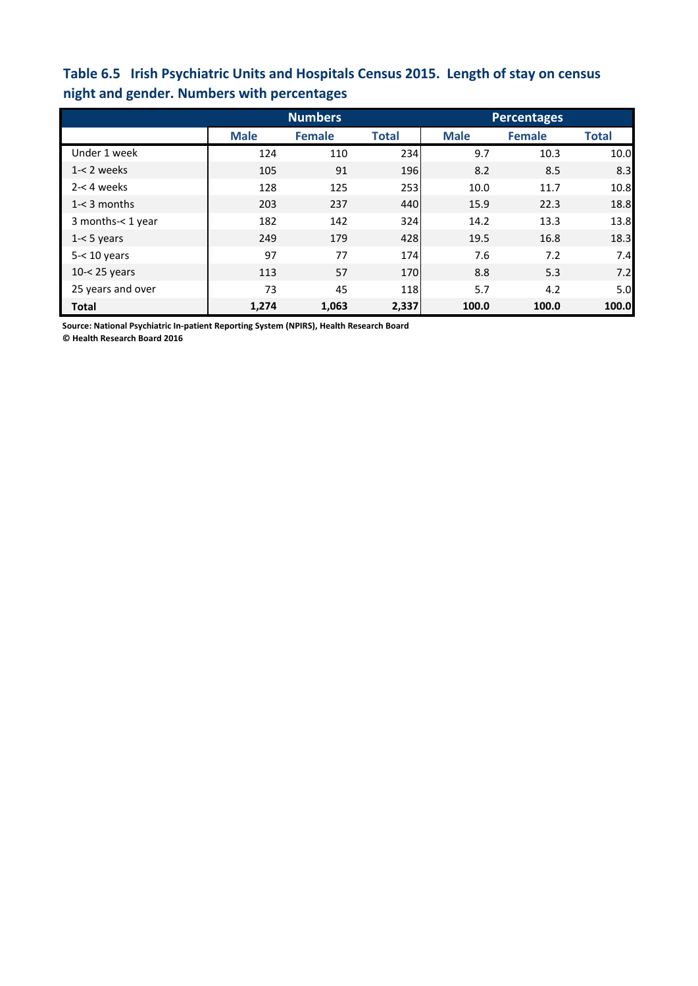## **Table 6.5 Irish Psychiatric Units and Hospitals Census 2015. Length of stay on census night and gender. Numbers with percentages**

|                   |             | <b>Numbers</b> |              | <b>Percentages</b> |               |              |  |
|-------------------|-------------|----------------|--------------|--------------------|---------------|--------------|--|
|                   | <b>Male</b> | <b>Female</b>  | <b>Total</b> | <b>Male</b>        | <b>Female</b> | <b>Total</b> |  |
| Under 1 week      | 124         | 110            | 234          | 9.7                | 10.3          | 10.0         |  |
| $1 - 2$ weeks     | 105         | 91             | 196          | 8.2                | 8.5           | 8.3          |  |
| $2 - 4$ weeks     | 128         | 125            | 253          | 10.0               | 11.7          | 10.8         |  |
| $1 - 3$ months    | 203         | 237            | 440          | 15.9               | 22.3          | 18.8         |  |
| 3 months-< 1 year | 182         | 142            | 324          | 14.2               | 13.3          | 13.8         |  |
| $1 - 5$ years     | 249         | 179            | 428          | 19.5               | 16.8          | 18.3         |  |
| $5 - 10$ years    | 97          | 77             | 174          | 7.6                | 7.2           | 7.4          |  |
| $10 - 25$ years   | 113         | 57             | 170          | 8.8                | 5.3           | 7.2          |  |
| 25 years and over | 73          | 45             | 118          | 5.7                | 4.2           | 5.0          |  |
| <b>Total</b>      | 1,274       | 1,063          | 2,337        | 100.0              | 100.0         | 100.0        |  |

**Source: National Psychiatric In-patient Reporting System (NPIRS), Health Research Board**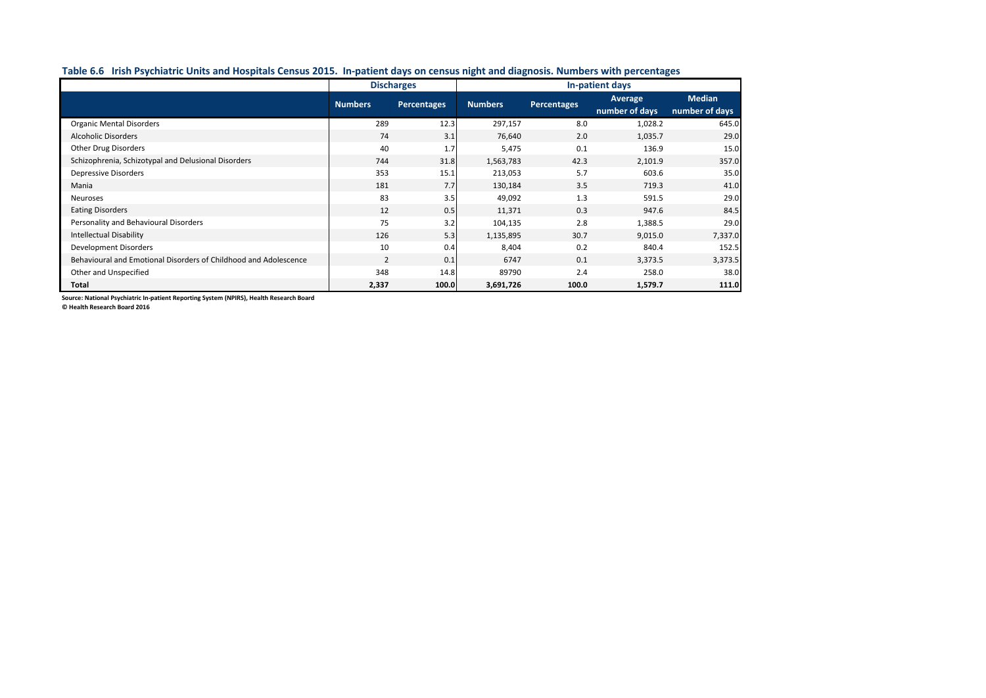### **Table 6.6 Irish Psychiatric Units and Hospitals Census 2015. In-patient days on census night and diagnosis. Numbers with percentages**

|                                                                  | <b>Discharges</b>             |       | In-patient days |             |                |                |  |
|------------------------------------------------------------------|-------------------------------|-------|-----------------|-------------|----------------|----------------|--|
|                                                                  | <b>Numbers</b><br>Percentages |       | <b>Numbers</b>  | Percentages | <b>Average</b> | <b>Median</b>  |  |
|                                                                  |                               |       |                 |             | number of days | number of days |  |
| <b>Organic Mental Disorders</b>                                  | 289                           | 12.3  | 297,157         | 8.0         | 1,028.2        | 645.0          |  |
| <b>Alcoholic Disorders</b>                                       | 74                            | 3.1   | 76,640          | 2.0         | 1,035.7        | 29.0           |  |
| <b>Other Drug Disorders</b>                                      | 40                            | 1.7   | 5,475           | 0.1         | 136.9          | 15.0           |  |
| Schizophrenia, Schizotypal and Delusional Disorders              | 744                           | 31.8  | 1,563,783       | 42.3        | 2,101.9        | 357.0          |  |
| <b>Depressive Disorders</b>                                      | 353                           | 15.1  | 213,053         | 5.7         | 603.6          | 35.0           |  |
| Mania                                                            | 181                           | 7.7   | 130,184         | 3.5         | 719.3          | 41.0           |  |
| Neuroses                                                         | 83                            | 3.5   | 49,092          | 1.3         | 591.5          | 29.0           |  |
| <b>Eating Disorders</b>                                          | 12                            | 0.5   | 11,371          | 0.3         | 947.6          | 84.5           |  |
| Personality and Behavioural Disorders                            | 75                            | 3.2   | 104,135         | 2.8         | 1,388.5        | 29.0           |  |
| <b>Intellectual Disability</b>                                   | 126                           | 5.3   | 1,135,895       | 30.7        | 9,015.0        | 7,337.0        |  |
| <b>Development Disorders</b>                                     | 10                            | 0.4   | 8,404           | 0.2         | 840.4          | 152.5          |  |
| Behavioural and Emotional Disorders of Childhood and Adolescence | $\overline{2}$                | 0.1   | 6747            | 0.1         | 3,373.5        | 3,373.5        |  |
| Other and Unspecified                                            | 348                           | 14.8  | 89790           | 2.4         | 258.0          | 38.0           |  |
| Total                                                            | 2,337                         | 100.0 | 3,691,726       | 100.0       | 1,579.7        | 111.0          |  |

**Source: National Psychiatric In-patient Reporting System (NPIRS), Health Research Board**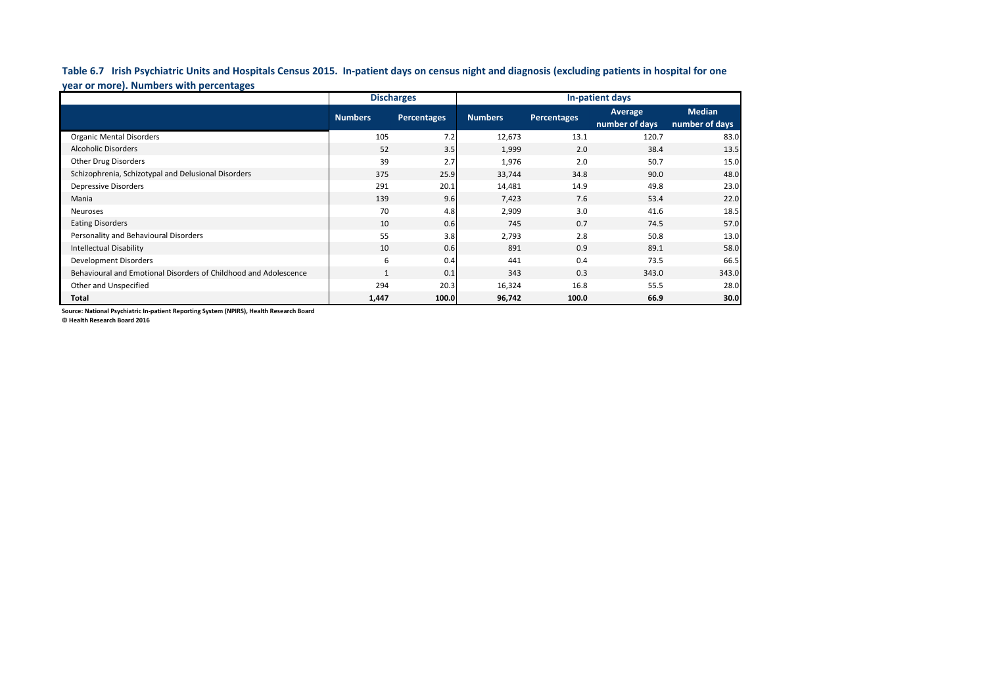**Table 6.7 Irish Psychiatric Units and Hospitals Census 2015. In-patient days on census night and diagnosis (excluding patients in hospital for one year or more). Numbers with percentages**

|                                                                  |                | <b>Discharges</b>  | In-patient days |                    |                           |                                 |  |  |
|------------------------------------------------------------------|----------------|--------------------|-----------------|--------------------|---------------------------|---------------------------------|--|--|
|                                                                  | <b>Numbers</b> | <b>Percentages</b> | <b>Numbers</b>  | <b>Percentages</b> | Average<br>number of days | <b>Median</b><br>number of days |  |  |
| <b>Organic Mental Disorders</b>                                  | 105            | 7.2                | 12,673          | 13.1               | 120.7                     | 83.0                            |  |  |
| <b>Alcoholic Disorders</b>                                       | 52             | 3.5                | 1,999           | 2.0                | 38.4                      | 13.5                            |  |  |
| <b>Other Drug Disorders</b>                                      | 39             | 2.7                | 1,976           | 2.0                | 50.7                      | 15.0                            |  |  |
| Schizophrenia, Schizotypal and Delusional Disorders              | 375            | 25.9               | 33,744          | 34.8               | 90.0                      | 48.0                            |  |  |
| Depressive Disorders                                             | 291            | 20.1               | 14,481          | 14.9               | 49.8                      | 23.0                            |  |  |
| Mania                                                            | 139            | 9.6                | 7,423           | 7.6                | 53.4                      | 22.0                            |  |  |
| Neuroses                                                         | 70             | 4.8                | 2,909           | 3.0                | 41.6                      | 18.5                            |  |  |
| <b>Eating Disorders</b>                                          | 10             | 0.6                | 745             | 0.7                | 74.5                      | 57.0                            |  |  |
| Personality and Behavioural Disorders                            | 55             | 3.8                | 2,793           | 2.8                | 50.8                      | 13.0                            |  |  |
| <b>Intellectual Disability</b>                                   | 10             | 0.6                | 891             | 0.9                | 89.1                      | 58.0                            |  |  |
| Development Disorders                                            | 6              | 0.4                | 441             | 0.4                | 73.5                      | 66.5                            |  |  |
| Behavioural and Emotional Disorders of Childhood and Adolescence | $\mathbf{1}$   | 0.1                | 343             | 0.3                | 343.0                     | 343.0                           |  |  |
| Other and Unspecified                                            | 294            | 20.3               | 16,324          | 16.8               | 55.5                      | 28.0                            |  |  |
| Total                                                            | 1,447          | 100.0              | 96,742          | 100.0              | 66.9                      | 30.0                            |  |  |

**Source: National Psychiatric In-patient Reporting System (NPIRS), Health Research Board**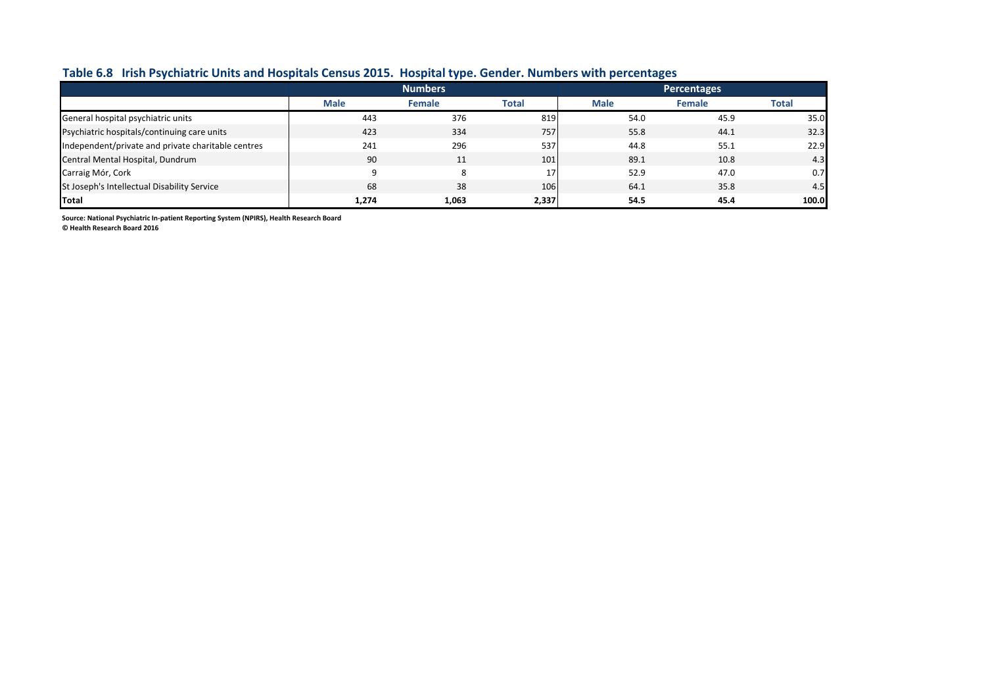## **Table 6.8 Irish Psychiatric Units and Hospitals Census 2015. Hospital type. Gender. Numbers with percentages**

|                                                    |             | <b>Numbers</b> |              | <b>Percentages</b> |               |       |  |
|----------------------------------------------------|-------------|----------------|--------------|--------------------|---------------|-------|--|
|                                                    | <b>Male</b> | <b>Female</b>  | <b>Total</b> | <b>Male</b>        | <b>Female</b> | Total |  |
| General hospital psychiatric units                 | 443         | 376            | 819          | 54.0               | 45.9          | 35.0  |  |
| Psychiatric hospitals/continuing care units        | 423         | 334            | 757          | 55.8               | 44.1          | 32.3  |  |
| Independent/private and private charitable centres | 241         | 296            | 537          | 44.8               | 55.1          | 22.9  |  |
| Central Mental Hospital, Dundrum                   | 90          | 11             | 101          | 89.1               | 10.8          | 4.3   |  |
| Carraig Mór, Cork                                  | $\Omega$    |                | 17           | 52.9               | 47.0          | 0.7   |  |
| St Joseph's Intellectual Disability Service        | 68          | 38             | 106          | 64.1               | 35.8          | 4.5   |  |
| Total                                              | 1,274       | 1,063          | 2,337        | 54.5               | 45.4          | 100.0 |  |

**Source: National Psychiatric In-patient Reporting System (NPIRS), Health Research Board**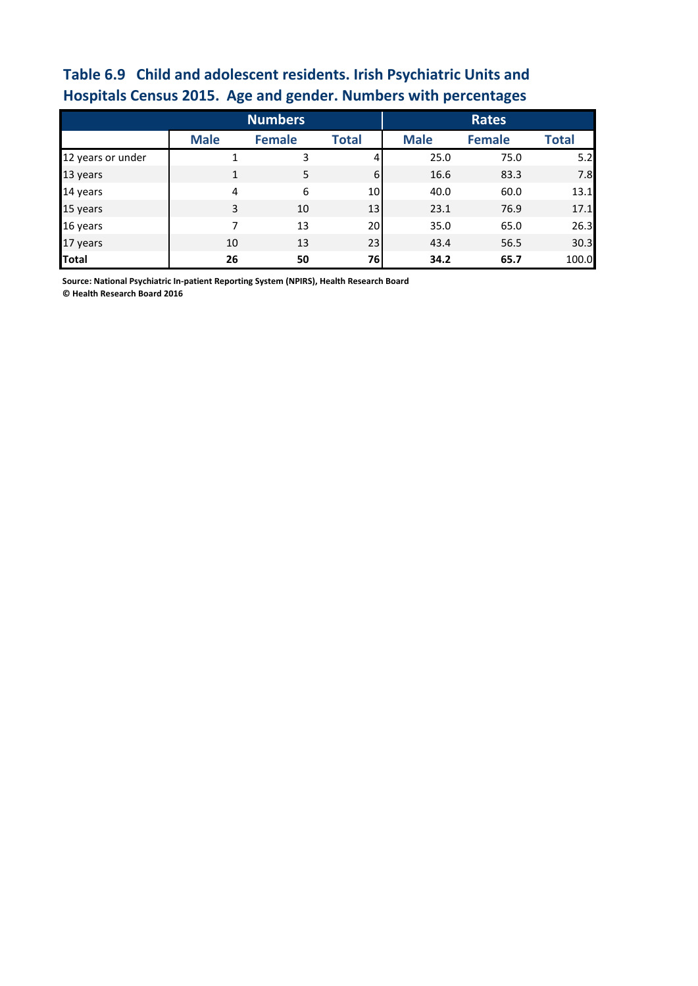# **Table 6.9 Child and adolescent residents. Irish Psychiatric Units and Hospitals Census 2015. Age and gender. Numbers with percentages**

|                   |              | <b>Numbers</b> |                 | <b>Rates</b> |               |              |  |
|-------------------|--------------|----------------|-----------------|--------------|---------------|--------------|--|
|                   | <b>Male</b>  | <b>Female</b>  | <b>Total</b>    | <b>Male</b>  | <b>Female</b> | <b>Total</b> |  |
| 12 years or under | 1            | 3              | 4               | 25.0         | 75.0          | 5.2          |  |
| 13 years          | $\mathbf{1}$ | 5              | 6               | 16.6         | 83.3          | 7.8          |  |
| 14 years          | 4            | 6              | 10 <sup>1</sup> | 40.0         | 60.0          | 13.1         |  |
| 15 years          | 3            | 10             | 13              | 23.1         | 76.9          | 17.1         |  |
| 16 years          | 7            | 13             | 20              | 35.0         | 65.0          | 26.3         |  |
| 17 years          | 10           | 13             | 23              | 43.4         | 56.5          | 30.3         |  |
| <b>Total</b>      | 26           | 50             | 76              | 34.2         | 65.7          | 100.0        |  |

**Source: National Psychiatric In-patient Reporting System (NPIRS), Health Research Board**